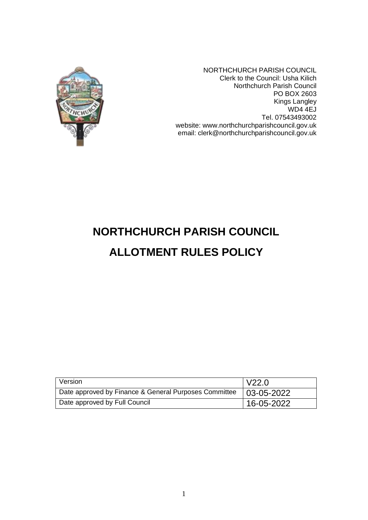

NORTHCHURCH PARISH COUNCIL Clerk to the Council: Usha Kilich Northchurch Parish Council PO BOX 2603 Kings Langley WD4 4EJ Tel. 07543493002 website: www.northchurchparishcouncil.gov.uk email: clerk@northchurchparishcouncil.gov.uk

# **NORTHCHURCH PARISH COUNCIL**

## **ALLOTMENT RULES POLICY**

| Version                                               | V22.0             |
|-------------------------------------------------------|-------------------|
| Date approved by Finance & General Purposes Committee | $103 - 05 - 2022$ |
| Date approved by Full Council                         | $16 - 05 - 2022$  |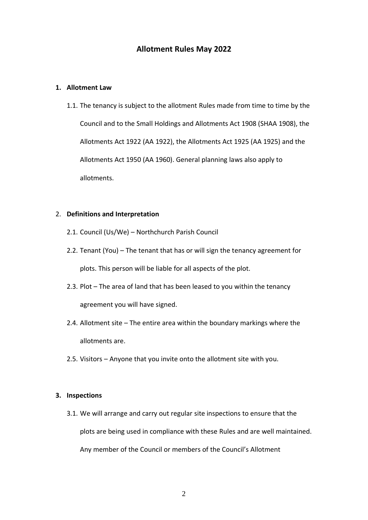#### **Allotment Rules May 2022**

#### **1. Allotment Law**

1.1. The tenancy is subject to the allotment Rules made from time to time by the Council and to the Small Holdings and Allotments Act 1908 (SHAA 1908), the Allotments Act 1922 (AA 1922), the Allotments Act 1925 (AA 1925) and the Allotments Act 1950 (AA 1960). General planning laws also apply to allotments.

#### 2. **Definitions and Interpretation**

- 2.1. Council (Us/We) Northchurch Parish Council
- 2.2. Tenant (You) The tenant that has or will sign the tenancy agreement for plots. This person will be liable for all aspects of the plot.
- 2.3. Plot The area of land that has been leased to you within the tenancy agreement you will have signed.
- 2.4. Allotment site The entire area within the boundary markings where the allotments are.
- 2.5. Visitors Anyone that you invite onto the allotment site with you.

#### **3. Inspections**

3.1. We will arrange and carry out regular site inspections to ensure that the plots are being used in compliance with these Rules and are well maintained. Any member of the Council or members of the Council's Allotment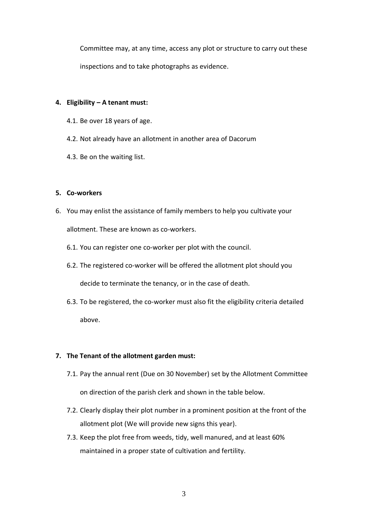Committee may, at any time, access any plot or structure to carry out these inspections and to take photographs as evidence.

#### **4. Eligibility – A tenant must:**

- 4.1. Be over 18 years of age.
- 4.2. Not already have an allotment in another area of Dacorum
- 4.3. Be on the waiting list.

#### **5. Co-workers**

- 6. You may enlist the assistance of family members to help you cultivate your allotment. These are known as co-workers.
	- 6.1. You can register one co-worker per plot with the council.
	- 6.2. The registered co-worker will be offered the allotment plot should you decide to terminate the tenancy, or in the case of death.
	- 6.3. To be registered, the co-worker must also fit the eligibility criteria detailed above.

#### **7. The Tenant of the allotment garden must:**

7.1. Pay the annual rent (Due on 30 November) set by the Allotment Committee

on direction of the parish clerk and shown in the table below.

- 7.2. Clearly display their plot number in a prominent position at the front of the allotment plot (We will provide new signs this year).
- 7.3. Keep the plot free from weeds, tidy, well manured, and at least 60% maintained in a proper state of cultivation and fertility.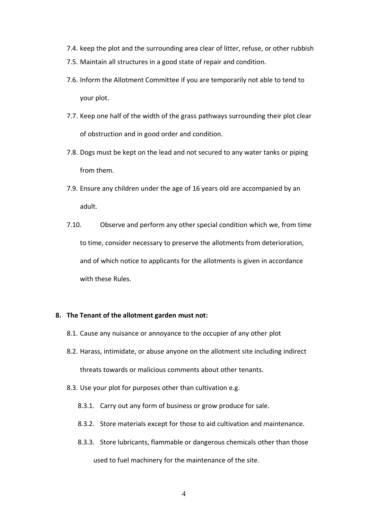- 7.4. keep the plot and the surrounding area clear of litter, refuse, or other rubbish
- 7.5. Maintain all structures in a good state of repair and condition.
- 7.6. Inform the Allotment Committee if you are temporarily not able to tend to your plot.
- 7.7. Keep one half of the width of the grass pathways surrounding their plot clear of obstruction and in good order and condition.
- 7.8. Dogs must be kept on the lead and not secured to any water tanks or piping from them.
- 7.9. Ensure any children under the age of 16 years old are accompanied by an adult.
- 7.10. Observe and perform any other special condition which we, from time to time, consider necessary to preserve the allotments from deterioration, and of which notice to applicants for the allotments is given in accordance with these Rules.

#### **8. The Tenant of the allotment garden must not:**

- 8.1. Cause any nuisance or annoyance to the occupier of any other plot
- 8.2. Harass, intimidate, or abuse anyone on the allotment site including indirect threats towards or malicious comments about other tenants.
- 8.3. Use your plot for purposes other than cultivation e.g.
	- 8.3.1. Carry out any form of business or grow produce for sale.
	- 8.3.2. Store materials except for those to aid cultivation and maintenance.
	- 8.3.3. Store lubricants, flammable or dangerous chemicals other than those used to fuel machinery for the maintenance of the site.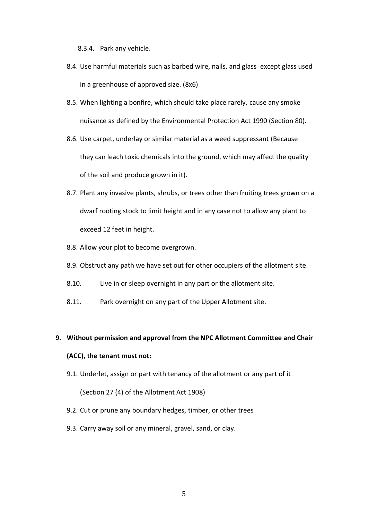8.3.4. Park any vehicle.

- 8.4. Use harmful materials such as barbed wire, nails, and glass except glass used in a greenhouse of approved size. (8x6)
- 8.5. When lighting a bonfire, which should take place rarely, cause any smoke nuisance as defined by the Environmental Protection Act 1990 (Section 80).
- 8.6. Use carpet, underlay or similar material as a weed suppressant (Because they can leach toxic chemicals into the ground, which may affect the quality of the soil and produce grown in it).
- 8.7. Plant any invasive plants, shrubs, or trees other than fruiting trees grown on a dwarf rooting stock to limit height and in any case not to allow any plant to exceed 12 feet in height.
- 8.8. Allow your plot to become overgrown.
- 8.9. Obstruct any path we have set out for other occupiers of the allotment site.
- 8.10. Live in or sleep overnight in any part or the allotment site.
- 8.11. Park overnight on any part of the Upper Allotment site.

### **9. Without permission and approval from the NPC Allotment Committee and Chair (ACC), the tenant must not:**

9.1. Underlet, assign or part with tenancy of the allotment or any part of it

(Section 27 (4) of the Allotment Act 1908)

- 9.2. Cut or prune any boundary hedges, timber, or other trees
- 9.3. Carry away soil or any mineral, gravel, sand, or clay.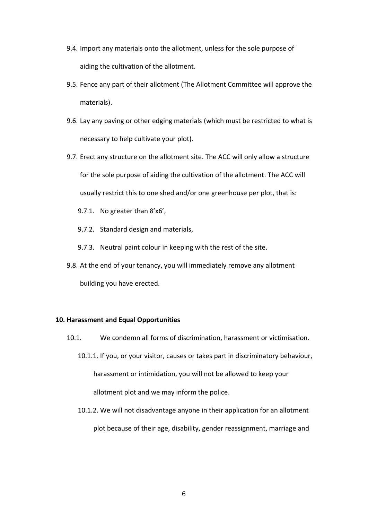- 9.4. Import any materials onto the allotment, unless for the sole purpose of aiding the cultivation of the allotment.
- 9.5. Fence any part of their allotment (The Allotment Committee will approve the materials).
- 9.6. Lay any paving or other edging materials (which must be restricted to what is necessary to help cultivate your plot).
- 9.7. Erect any structure on the allotment site. The ACC will only allow a structure for the sole purpose of aiding the cultivation of the allotment. The ACC will usually restrict this to one shed and/or one greenhouse per plot, that is:
	- 9.7.1. No greater than 8'x6',
	- 9.7.2. Standard design and materials,
	- 9.7.3. Neutral paint colour in keeping with the rest of the site.
- 9.8. At the end of your tenancy, you will immediately remove any allotment building you have erected.

#### **10. Harassment and Equal Opportunities**

- 10.1. We condemn all forms of discrimination, harassment or victimisation.
	- 10.1.1. If you, or your visitor, causes or takes part in discriminatory behaviour, harassment or intimidation, you will not be allowed to keep your allotment plot and we may inform the police.
	- 10.1.2. We will not disadvantage anyone in their application for an allotment plot because of their age, disability, gender reassignment, marriage and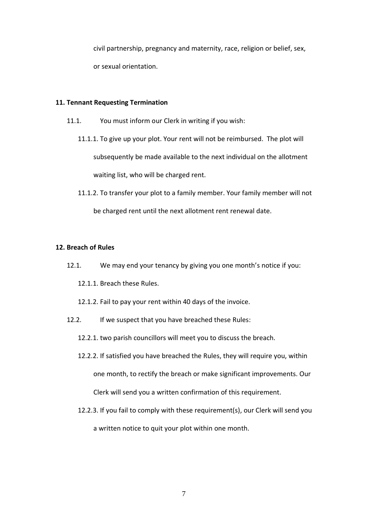civil partnership, pregnancy and maternity, race, religion or belief, sex, or sexual orientation.

#### **11. Tennant Requesting Termination**

- 11.1. You must inform our Clerk in writing if you wish:
	- 11.1.1. To give up your plot. Your rent will not be reimbursed. The plot will subsequently be made available to the next individual on the allotment waiting list, who will be charged rent.
	- 11.1.2. To transfer your plot to a family member. Your family member will not be charged rent until the next allotment rent renewal date.

#### **12. Breach of Rules**

12.1. We may end your tenancy by giving you one month's notice if you:

12.1.1. Breach these Rules.

- 12.1.2. Fail to pay your rent within 40 days of the invoice.
- 12.2. If we suspect that you have breached these Rules:
	- 12.2.1. two parish councillors will meet you to discuss the breach.
	- 12.2.2. If satisfied you have breached the Rules, they will require you, within one month, to rectify the breach or make significant improvements. Our Clerk will send you a written confirmation of this requirement.
	- 12.2.3. If you fail to comply with these requirement(s), our Clerk will send you a written notice to quit your plot within one month.